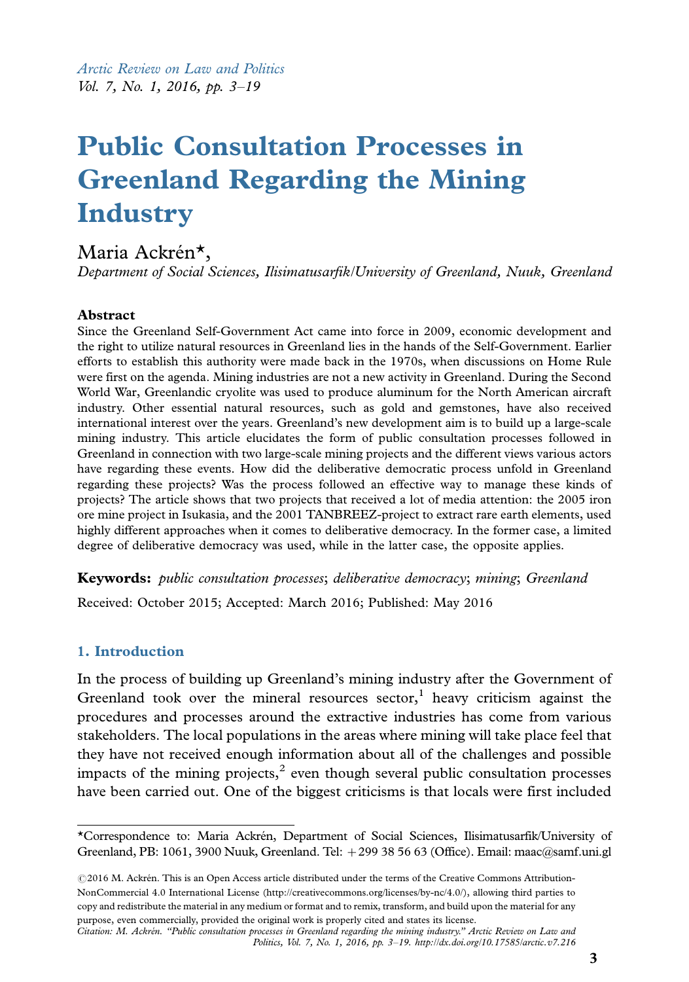Arctic Review on Law and Politics Vol. 7, No. 1, 2016, pp.  $3-19$ 

# Public Consultation Processes in Greenland Regarding the Mining **Industry**

## Maria Ackrén\*,

Department of Social Sciences, Ilisimatusarfik/University of Greenland, Nuuk, Greenland

#### Abstract

Since the Greenland Self-Government Act came into force in 2009, economic development and the right to utilize natural resources in Greenland lies in the hands of the Self-Government. Earlier efforts to establish this authority were made back in the 1970s, when discussions on Home Rule were first on the agenda. Mining industries are not a new activity in Greenland. During the Second World War, Greenlandic cryolite was used to produce aluminum for the North American aircraft industry. Other essential natural resources, such as gold and gemstones, have also received international interest over the years. Greenland's new development aim is to build up a large-scale mining industry. This article elucidates the form of public consultation processes followed in Greenland in connection with two large-scale mining projects and the different views various actors have regarding these events. How did the deliberative democratic process unfold in Greenland regarding these projects? Was the process followed an effective way to manage these kinds of projects? The article shows that two projects that received a lot of media attention: the 2005 iron ore mine project in Isukasia, and the 2001 TANBREEZ-project to extract rare earth elements, used highly different approaches when it comes to deliberative democracy. In the former case, a limited degree of deliberative democracy was used, while in the latter case, the opposite applies.

Keywords: public consultation processes; deliberative democracy; mining; Greenland

Received: October 2015; Accepted: March 2016; Published: May 2016

#### 1. Introduction

In the process of building up Greenland's mining industry after the Government of Greenland took over the mineral resources sector, $\frac{1}{1}$  heavy criticism against the procedures and processes around the extractive industries has come from various stakeholders. The local populations in the areas where mining will take place feel that they have not received enough information about all of the challenges and possible impacts of the mining projects, $2$  even though several public consultation processes have been carried out. One of the biggest criticisms is that locals were first included

<sup>\*</sup>Correspondence to: Maria Ackrén, Department of Social Sciences, Ilisimatusarfik/University of Greenland, PB: 1061, 3900 Nuuk, Greenland. Tel: -299 38 56 63 (Office). Email: maac@samf.uni.gl

<sup>©2016</sup> M. Ackrén. This is an Open Access article distributed under the terms of the Creative Commons Attribution-NonCommercial 4.0 International License (http://creativecommons.org/licenses/by-nc/4.0/), allowing third parties to copy and redistribute the material in any medium or format and to remix, transform, and build upon the material for any purpose, even commercially, provided the original work is properly cited and states its license. Citation: M. Ackrén. "Public consultation processes in Greenland regarding the mining industry." Arctic Review on Law and

Politics, Vol. 7, No. 1, 2016, pp. 3-19. http://dx.doi.org/10.17585/arctic.v7.216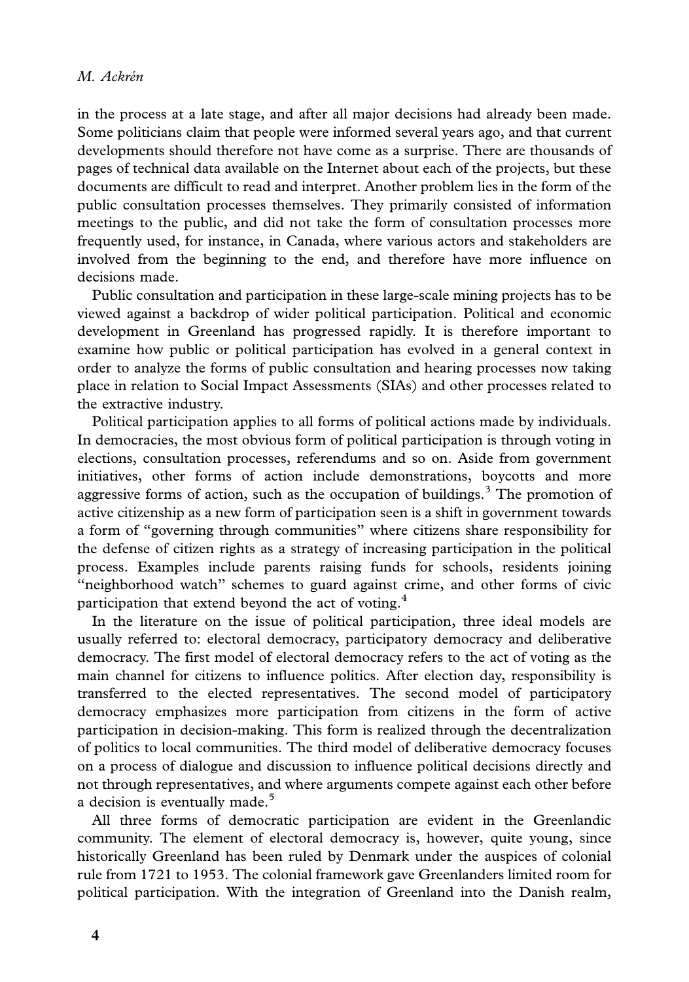in the process at a late stage, and after all major decisions had already been made. Some politicians claim that people were informed several years ago, and that current developments should therefore not have come as a surprise. There are thousands of pages of technical data available on the Internet about each of the projects, but these documents are difficult to read and interpret. Another problem lies in the form of the public consultation processes themselves. They primarily consisted of information meetings to the public, and did not take the form of consultation processes more frequently used, for instance, in Canada, where various actors and stakeholders are involved from the beginning to the end, and therefore have more influence on decisions made.

Public consultation and participation in these large-scale mining projects has to be viewed against a backdrop of wider political participation. Political and economic development in Greenland has progressed rapidly. It is therefore important to examine how public or political participation has evolved in a general context in order to analyze the forms of public consultation and hearing processes now taking place in relation to Social Impact Assessments (SIAs) and other processes related to the extractive industry.

Political participation applies to all forms of political actions made by individuals. In democracies, the most obvious form of political participation is through voting in elections, consultation processes, referendums and so on. Aside from government initiatives, other forms of action include demonstrations, boycotts and more aggressive forms of action, such as the occupation of buildings. $3$  The promotion of active citizenship as a new form of participation seen is a shift in government towards a form of ''governing through communities'' where citizens share responsibility for the defense of citizen rights as a strategy of increasing participation in the political process. Examples include parents raising funds for schools, residents joining ''neighborhood watch'' schemes to guard against crime, and other forms of civic participation that extend beyond the act of voting.<sup>4</sup>

In the literature on the issue of political participation, three ideal models are usually referred to: electoral democracy, participatory democracy and deliberative democracy. The first model of electoral democracy refers to the act of voting as the main channel for citizens to influence politics. After election day, responsibility is transferred to the elected representatives. The second model of participatory democracy emphasizes more participation from citizens in the form of active participation in decision-making. This form is realized through the decentralization of politics to local communities. The third model of deliberative democracy focuses on a process of dialogue and discussion to influence political decisions directly and not through representatives, and where arguments compete against each other before a decision is eventually made.<sup>5</sup>

All three forms of democratic participation are evident in the Greenlandic community. The element of electoral democracy is, however, quite young, since historically Greenland has been ruled by Denmark under the auspices of colonial rule from 1721 to 1953. The colonial framework gave Greenlanders limited room for political participation. With the integration of Greenland into the Danish realm,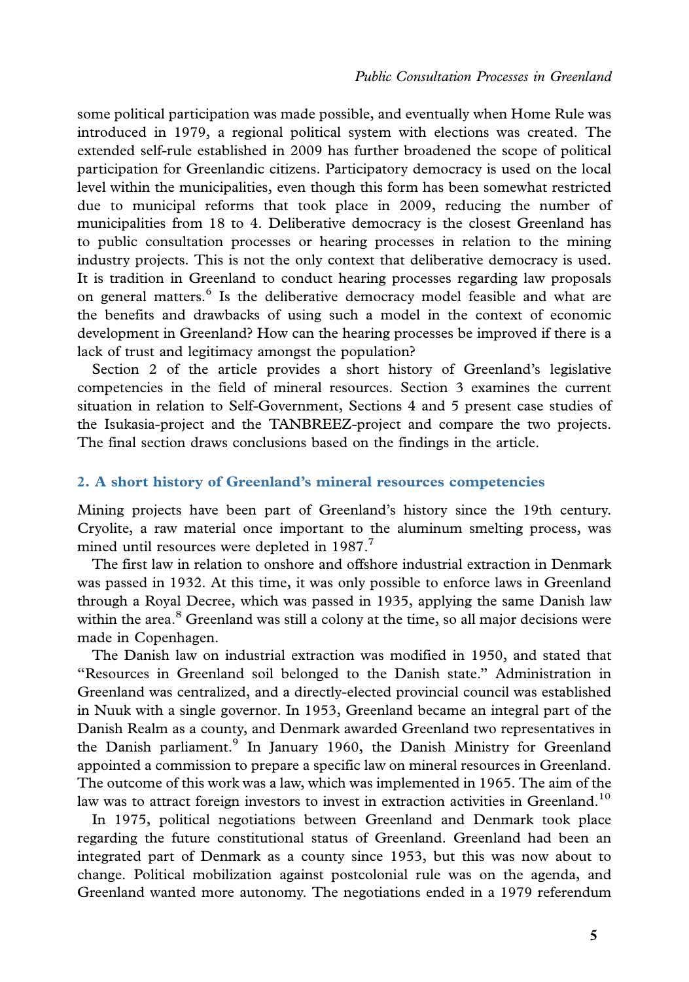some political participation was made possible, and eventually when Home Rule was introduced in 1979, a regional political system with elections was created. The extended self-rule established in 2009 has further broadened the scope of political participation for Greenlandic citizens. Participatory democracy is used on the local level within the municipalities, even though this form has been somewhat restricted due to municipal reforms that took place in 2009, reducing the number of municipalities from 18 to 4. Deliberative democracy is the closest Greenland has to public consultation processes or hearing processes in relation to the mining industry projects. This is not the only context that deliberative democracy is used. It is tradition in Greenland to conduct hearing processes regarding law proposals on general matters.<sup>6</sup> Is the deliberative democracy model feasible and what are the benefits and drawbacks of using such a model in the context of economic development in Greenland? How can the hearing processes be improved if there is a lack of trust and legitimacy amongst the population?

Section 2 of the article provides a short history of Greenland's legislative competencies in the field of mineral resources. Section 3 examines the current situation in relation to Self-Government, Sections 4 and 5 present case studies of the Isukasia-project and the TANBREEZ-project and compare the two projects. The final section draws conclusions based on the findings in the article.

## 2. A short history of Greenland's mineral resources competencies

Mining projects have been part of Greenland's history since the 19th century. Cryolite, a raw material once important to the aluminum smelting process, was mined until resources were depleted in 1987.<sup>7</sup>

The first law in relation to onshore and offshore industrial extraction in Denmark was passed in 1932. At this time, it was only possible to enforce laws in Greenland through a Royal Decree, which was passed in 1935, applying the same Danish law within the area. $8$  Greenland was still a colony at the time, so all major decisions were made in Copenhagen.

The Danish law on industrial extraction was modified in 1950, and stated that ''Resources in Greenland soil belonged to the Danish state.'' Administration in Greenland was centralized, and a directly-elected provincial council was established in Nuuk with a single governor. In 1953, Greenland became an integral part of the Danish Realm as a county, and Denmark awarded Greenland two representatives in the Danish parliament.<sup>9</sup> In January 1960, the Danish Ministry for Greenland appointed a commission to prepare a specific law on mineral resources in Greenland. The outcome of this work was a law, which was implemented in 1965. The aim of the law was to attract foreign investors to invest in extraction activities in Greenland.<sup>10</sup>

In 1975, political negotiations between Greenland and Denmark took place regarding the future constitutional status of Greenland. Greenland had been an integrated part of Denmark as a county since 1953, but this was now about to change. Political mobilization against postcolonial rule was on the agenda, and Greenland wanted more autonomy. The negotiations ended in a 1979 referendum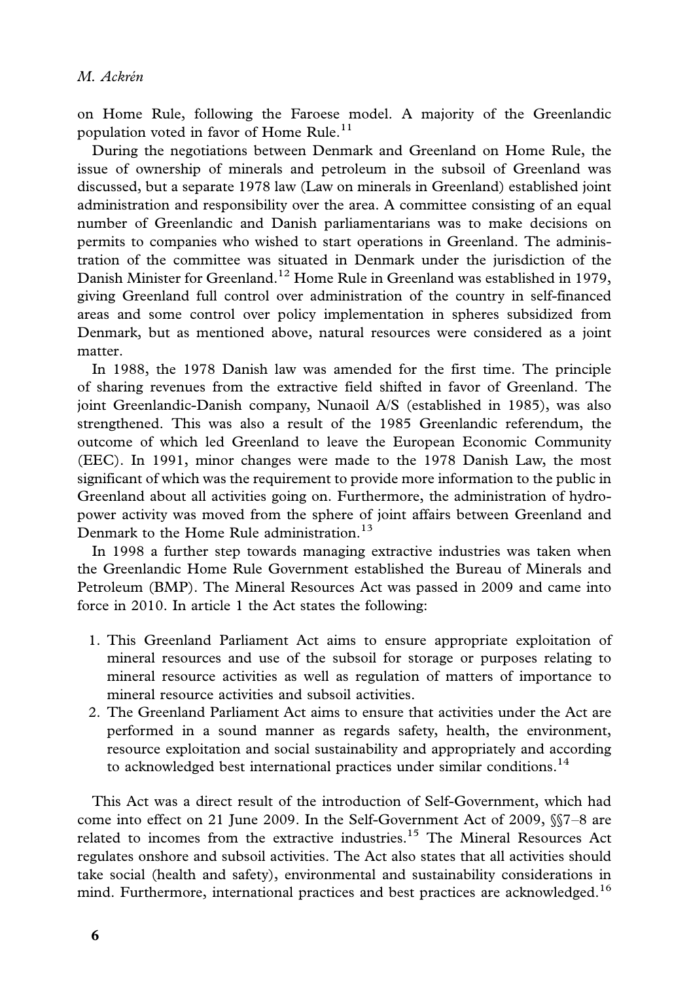on Home Rule, following the Faroese model. A majority of the Greenlandic population voted in favor of Home Rule.<sup>11</sup>

During the negotiations between Denmark and Greenland on Home Rule, the issue of ownership of minerals and petroleum in the subsoil of Greenland was discussed, but a separate 1978 law (Law on minerals in Greenland) established joint administration and responsibility over the area. A committee consisting of an equal number of Greenlandic and Danish parliamentarians was to make decisions on permits to companies who wished to start operations in Greenland. The administration of the committee was situated in Denmark under the jurisdiction of the Danish Minister for Greenland.<sup>12</sup> Home Rule in Greenland was established in 1979, giving Greenland full control over administration of the country in self-financed areas and some control over policy implementation in spheres subsidized from Denmark, but as mentioned above, natural resources were considered as a joint matter.

In 1988, the 1978 Danish law was amended for the first time. The principle of sharing revenues from the extractive field shifted in favor of Greenland. The joint Greenlandic-Danish company, Nunaoil A/S (established in 1985), was also strengthened. This was also a result of the 1985 Greenlandic referendum, the outcome of which led Greenland to leave the European Economic Community (EEC). In 1991, minor changes were made to the 1978 Danish Law, the most significant of which was the requirement to provide more information to the public in Greenland about all activities going on. Furthermore, the administration of hydropower activity was moved from the sphere of joint affairs between Greenland and Denmark to the Home Rule administration.<sup>13</sup>

In 1998 a further step towards managing extractive industries was taken when the Greenlandic Home Rule Government established the Bureau of Minerals and Petroleum (BMP). The Mineral Resources Act was passed in 2009 and came into force in 2010. In article 1 the Act states the following:

- 1. This Greenland Parliament Act aims to ensure appropriate exploitation of mineral resources and use of the subsoil for storage or purposes relating to mineral resource activities as well as regulation of matters of importance to mineral resource activities and subsoil activities.
- 2. The Greenland Parliament Act aims to ensure that activities under the Act are performed in a sound manner as regards safety, health, the environment, resource exploitation and social sustainability and appropriately and according to acknowledged best international practices under similar conditions.<sup>14</sup>

This Act was a direct result of the introduction of Self-Government, which had come into effect on 21 June 2009. In the Self-Government Act of 2009,  $\S$ 7-8 are related to incomes from the extractive industries.<sup>15</sup> The Mineral Resources Act regulates onshore and subsoil activities. The Act also states that all activities should take social (health and safety), environmental and sustainability considerations in mind. Furthermore, international practices and best practices are acknowledged.<sup>16</sup>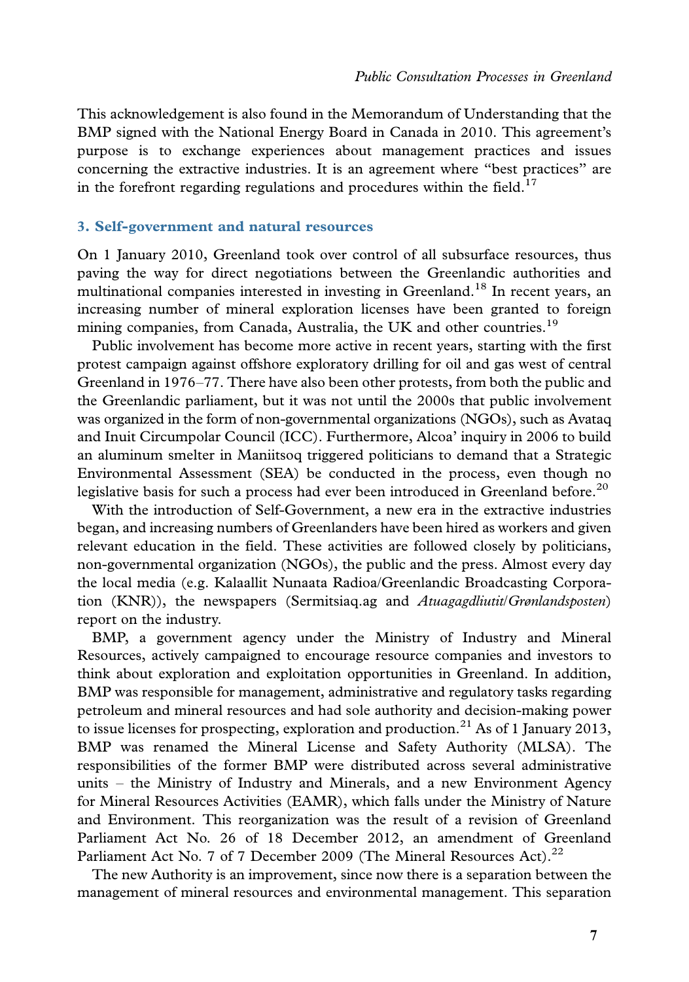This acknowledgement is also found in the Memorandum of Understanding that the BMP signed with the National Energy Board in Canada in 2010. This agreement's purpose is to exchange experiences about management practices and issues concerning the extractive industries. It is an agreement where ''best practices'' are in the forefront regarding regulations and procedures within the field.<sup>17</sup>

#### 3. Self-government and natural resources

On 1 January 2010, Greenland took over control of all subsurface resources, thus paving the way for direct negotiations between the Greenlandic authorities and multinational companies interested in investing in Greenland.<sup>18</sup> In recent years, an increasing number of mineral exploration licenses have been granted to foreign mining companies, from Canada, Australia, the UK and other countries.<sup>19</sup>

Public involvement has become more active in recent years, starting with the first protest campaign against offshore exploratory drilling for oil and gas west of central Greenland in 1976–77. There have also been other protests, from both the public and the Greenlandic parliament, but it was not until the 2000s that public involvement was organized in the form of non-governmental organizations (NGOs), such as Avataq and Inuit Circumpolar Council (ICC). Furthermore, Alcoa' inquiry in 2006 to build an aluminum smelter in Maniitsoq triggered politicians to demand that a Strategic Environmental Assessment (SEA) be conducted in the process, even though no legislative basis for such a process had ever been introduced in Greenland before.<sup>20</sup>

With the introduction of Self-Government, a new era in the extractive industries began, and increasing numbers of Greenlanders have been hired as workers and given relevant education in the field. These activities are followed closely by politicians, non-governmental organization (NGOs), the public and the press. Almost every day the local media (e.g. Kalaallit Nunaata Radioa/Greenlandic Broadcasting Corporation (KNR)), the newspapers (Sermitsiaq.ag and *Atuagagdliutit/Grønlandsposten*) report on the industry.

BMP, a government agency under the Ministry of Industry and Mineral Resources, actively campaigned to encourage resource companies and investors to think about exploration and exploitation opportunities in Greenland. In addition, BMP was responsible for management, administrative and regulatory tasks regarding petroleum and mineral resources and had sole authority and decision-making power to issue licenses for prospecting, exploration and production.<sup>21</sup> As of 1 January 2013, BMP was renamed the Mineral License and Safety Authority (MLSA). The responsibilities of the former BMP were distributed across several administrative units – the Ministry of Industry and Minerals, and a new Environment Agency for Mineral Resources Activities (EAMR), which falls under the Ministry of Nature and Environment. This reorganization was the result of a revision of Greenland Parliament Act No. 26 of 18 December 2012, an amendment of Greenland Parliament Act No. 7 of 7 December 2009 (The Mineral Resources Act).<sup>22</sup>

The new Authority is an improvement, since now there is a separation between the management of mineral resources and environmental management. This separation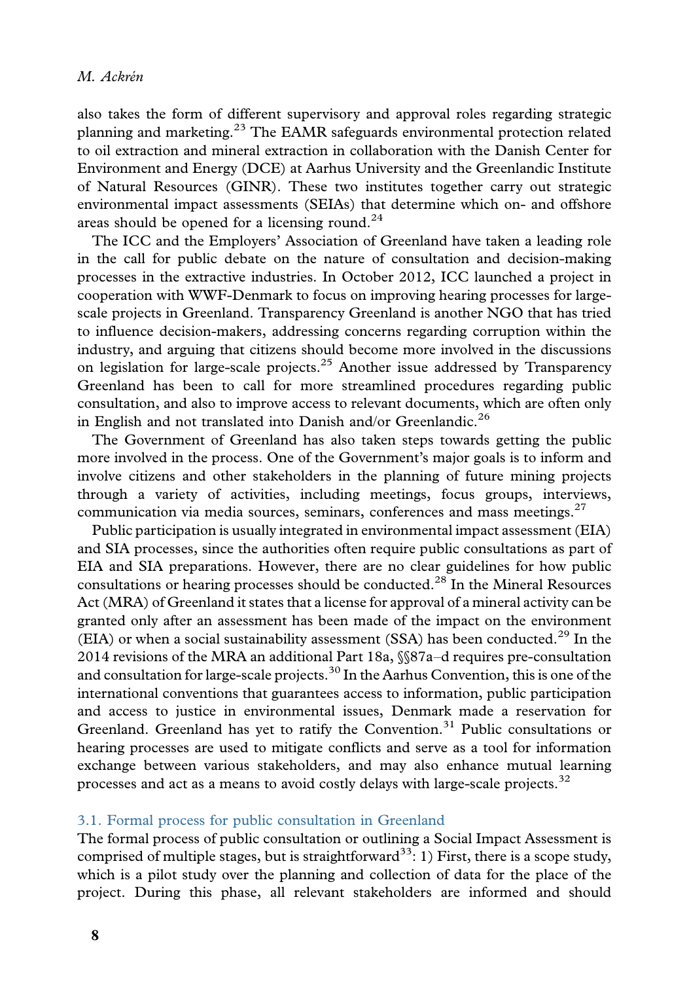also takes the form of different supervisory and approval roles regarding strategic planning and marketing. $^{23}$  The EAMR safeguards environmental protection related to oil extraction and mineral extraction in collaboration with the Danish Center for Environment and Energy (DCE) at Aarhus University and the Greenlandic Institute of Natural Resources (GINR). These two institutes together carry out strategic environmental impact assessments (SEIAs) that determine which on- and offshore areas should be opened for a licensing round. $^{24}$ 

The ICC and the Employers' Association of Greenland have taken a leading role in the call for public debate on the nature of consultation and decision-making processes in the extractive industries. In October 2012, ICC launched a project in cooperation with WWF-Denmark to focus on improving hearing processes for largescale projects in Greenland. Transparency Greenland is another NGO that has tried to influence decision-makers, addressing concerns regarding corruption within the industry, and arguing that citizens should become more involved in the discussions on legislation for large-scale projects.<sup>25</sup> Another issue addressed by Transparency Greenland has been to call for more streamlined procedures regarding public consultation, and also to improve access to relevant documents, which are often only in English and not translated into Danish and/or Greenlandic.<sup>26</sup>

The Government of Greenland has also taken steps towards getting the public more involved in the process. One of the Government's major goals is to inform and involve citizens and other stakeholders in the planning of future mining projects through a variety of activities, including meetings, focus groups, interviews, communication via media sources, seminars, conferences and mass meetings. $27$ 

Public participation is usually integrated in environmental impact assessment (EIA) and SIA processes, since the authorities often require public consultations as part of EIA and SIA preparations. However, there are no clear guidelines for how public consultations or hearing processes should be conducted.<sup>28</sup> In the Mineral Resources Act (MRA) of Greenland it states that a license for approval of a mineral activity can be granted only after an assessment has been made of the impact on the environment (EIA) or when a social sustainability assessment (SSA) has been conducted.<sup>29</sup> In the 2014 revisions of the MRA an additional Part 18a,  $\$ 87a-d requires pre-consultation and consultation for large-scale projects.<sup>30</sup> In the Aarhus Convention, this is one of the international conventions that guarantees access to information, public participation and access to justice in environmental issues, Denmark made a reservation for Greenland. Greenland has yet to ratify the Convention.<sup>31</sup> Public consultations or hearing processes are used to mitigate conflicts and serve as a tool for information exchange between various stakeholders, and may also enhance mutual learning processes and act as a means to avoid costly delays with large-scale projects.<sup>32</sup>

#### 3.1. Formal process for public consultation in Greenland

The formal process of public consultation or outlining a Social Impact Assessment is comprised of multiple stages, but is straightforward<sup>33</sup>: 1) First, there is a scope study, which is a pilot study over the planning and collection of data for the place of the project. During this phase, all relevant stakeholders are informed and should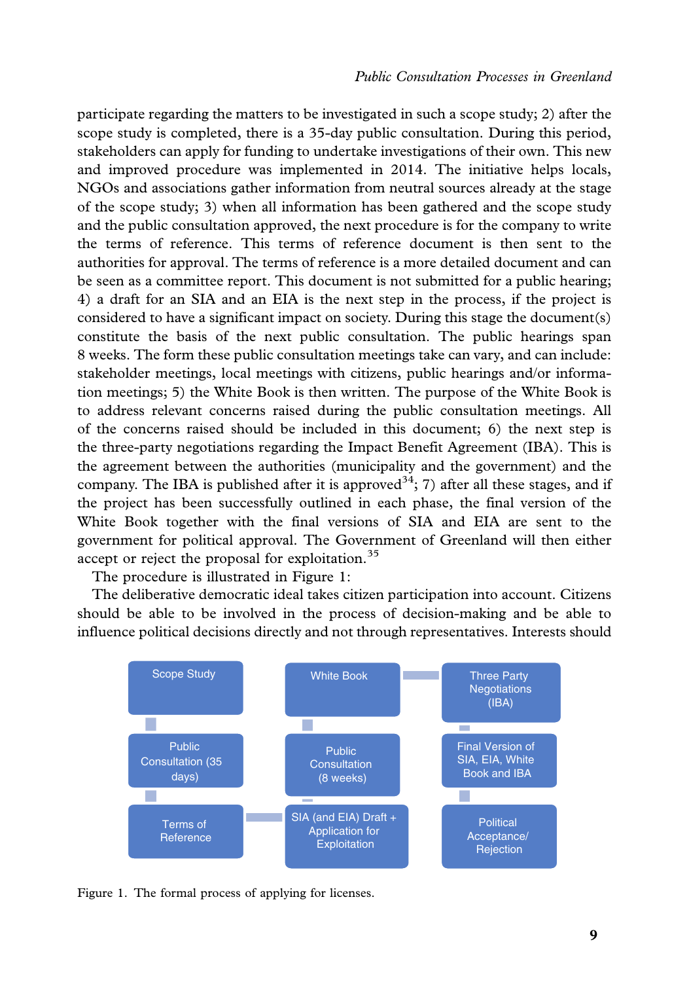participate regarding the matters to be investigated in such a scope study; 2) after the scope study is completed, there is a 35-day public consultation. During this period, stakeholders can apply for funding to undertake investigations of their own. This new and improved procedure was implemented in 2014. The initiative helps locals, NGOs and associations gather information from neutral sources already at the stage of the scope study; 3) when all information has been gathered and the scope study and the public consultation approved, the next procedure is for the company to write the terms of reference. This terms of reference document is then sent to the authorities for approval. The terms of reference is a more detailed document and can be seen as a committee report. This document is not submitted for a public hearing; 4) a draft for an SIA and an EIA is the next step in the process, if the project is considered to have a significant impact on society. During this stage the document(s) constitute the basis of the next public consultation. The public hearings span 8 weeks. The form these public consultation meetings take can vary, and can include: stakeholder meetings, local meetings with citizens, public hearings and/or information meetings; 5) the White Book is then written. The purpose of the White Book is to address relevant concerns raised during the public consultation meetings. All of the concerns raised should be included in this document; 6) the next step is the three-party negotiations regarding the Impact Benefit Agreement (IBA). This is the agreement between the authorities (municipality and the government) and the company. The IBA is published after it is approved<sup>34</sup>; 7) after all these stages, and if the project has been successfully outlined in each phase, the final version of the White Book together with the final versions of SIA and EIA are sent to the government for political approval. The Government of Greenland will then either accept or reject the proposal for exploitation.  $35$ 

The procedure is illustrated in Figure 1:

The deliberative democratic ideal takes citizen participation into account. Citizens should be able to be involved in the process of decision-making and be able to influence political decisions directly and not through representatives. Interests should



Figure 1. The formal process of applying for licenses.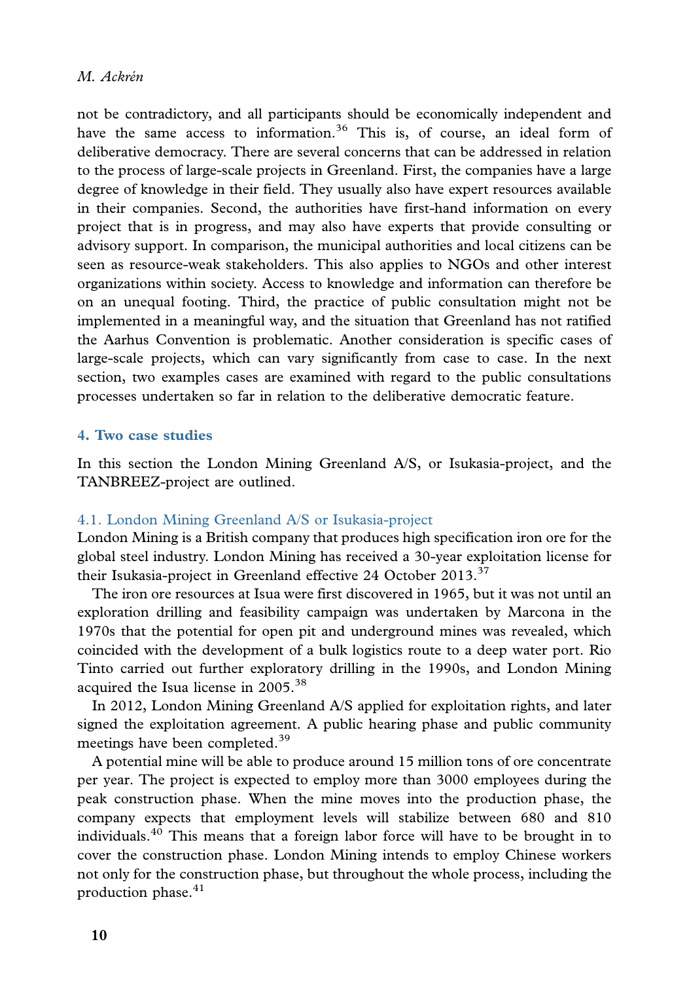not be contradictory, and all participants should be economically independent and have the same access to information.<sup>36</sup> This is, of course, an ideal form of deliberative democracy. There are several concerns that can be addressed in relation to the process of large-scale projects in Greenland. First, the companies have a large degree of knowledge in their field. They usually also have expert resources available in their companies. Second, the authorities have first-hand information on every project that is in progress, and may also have experts that provide consulting or advisory support. In comparison, the municipal authorities and local citizens can be seen as resource-weak stakeholders. This also applies to NGOs and other interest organizations within society. Access to knowledge and information can therefore be on an unequal footing. Third, the practice of public consultation might not be implemented in a meaningful way, and the situation that Greenland has not ratified the Aarhus Convention is problematic. Another consideration is specific cases of large-scale projects, which can vary significantly from case to case. In the next section, two examples cases are examined with regard to the public consultations processes undertaken so far in relation to the deliberative democratic feature.

#### 4. Two case studies

In this section the London Mining Greenland A/S, or Isukasia-project, and the TANBREEZ-project are outlined.

## 4.1. London Mining Greenland A/S or Isukasia-project

London Mining is a British company that produces high specification iron ore for the global steel industry. London Mining has received a 30-year exploitation license for their Isukasia-project in Greenland effective 24 October 2013.<sup>37</sup>

The iron ore resources at Isua were first discovered in 1965, but it was not until an exploration drilling and feasibility campaign was undertaken by Marcona in the 1970s that the potential for open pit and underground mines was revealed, which coincided with the development of a bulk logistics route to a deep water port. Rio Tinto carried out further exploratory drilling in the 1990s, and London Mining acquired the Isua license in  $2005.^{38}$ 

In 2012, London Mining Greenland A/S applied for exploitation rights, and later signed the exploitation agreement. A public hearing phase and public community meetings have been completed.<sup>39</sup>

A potential mine will be able to produce around 15 million tons of ore concentrate per year. The project is expected to employ more than 3000 employees during the peak construction phase. When the mine moves into the production phase, the company expects that employment levels will stabilize between 680 and 810 individuals.<sup>40</sup> This means that a foreign labor force will have to be brought in to cover the construction phase. London Mining intends to employ Chinese workers not only for the construction phase, but throughout the whole process, including the production phase.<sup>41</sup>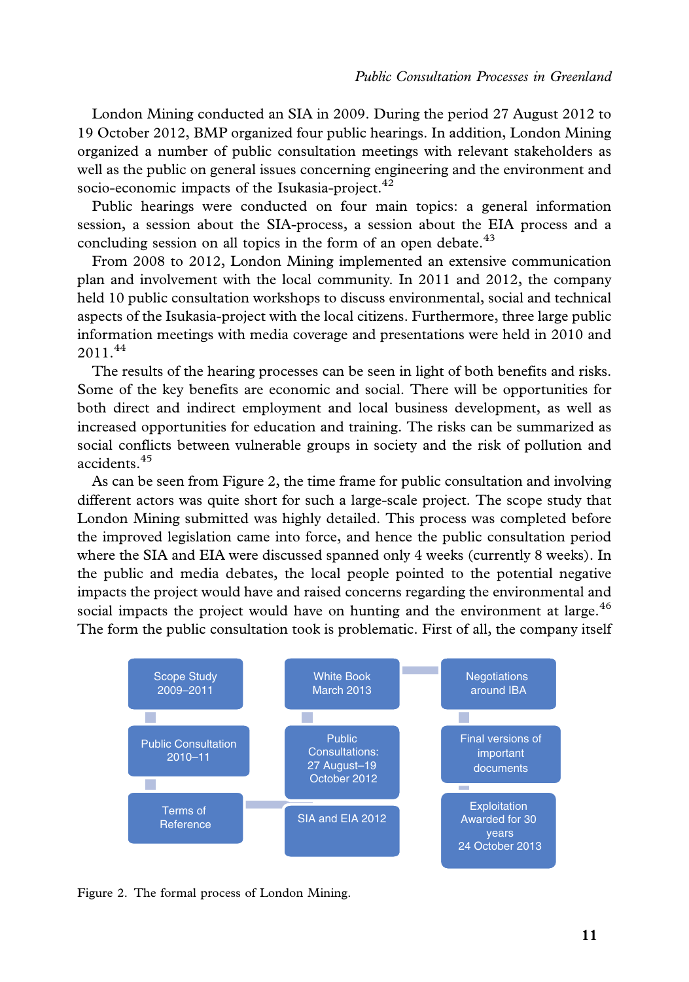London Mining conducted an SIA in 2009. During the period 27 August 2012 to 19 October 2012, BMP organized four public hearings. In addition, London Mining organized a number of public consultation meetings with relevant stakeholders as well as the public on general issues concerning engineering and the environment and socio-economic impacts of the Isukasia-project.<sup>42</sup>

Public hearings were conducted on four main topics: a general information session, a session about the SIA-process, a session about the EIA process and a concluding session on all topics in the form of an open debate.<sup>43</sup>

From 2008 to 2012, London Mining implemented an extensive communication plan and involvement with the local community. In 2011 and 2012, the company held 10 public consultation workshops to discuss environmental, social and technical aspects of the Isukasia-project with the local citizens. Furthermore, three large public information meetings with media coverage and presentations were held in 2010 and  $2011^{44}$ 

The results of the hearing processes can be seen in light of both benefits and risks. Some of the key benefits are economic and social. There will be opportunities for both direct and indirect employment and local business development, as well as increased opportunities for education and training. The risks can be summarized as social conflicts between vulnerable groups in society and the risk of pollution and accidents.45

As can be seen from Figure 2, the time frame for public consultation and involving different actors was quite short for such a large-scale project. The scope study that London Mining submitted was highly detailed. This process was completed before the improved legislation came into force, and hence the public consultation period where the SIA and EIA were discussed spanned only 4 weeks (currently 8 weeks). In the public and media debates, the local people pointed to the potential negative impacts the project would have and raised concerns regarding the environmental and social impacts the project would have on hunting and the environment at large.<sup>46</sup> The form the public consultation took is problematic. First of all, the company itself



Figure 2. The formal process of London Mining.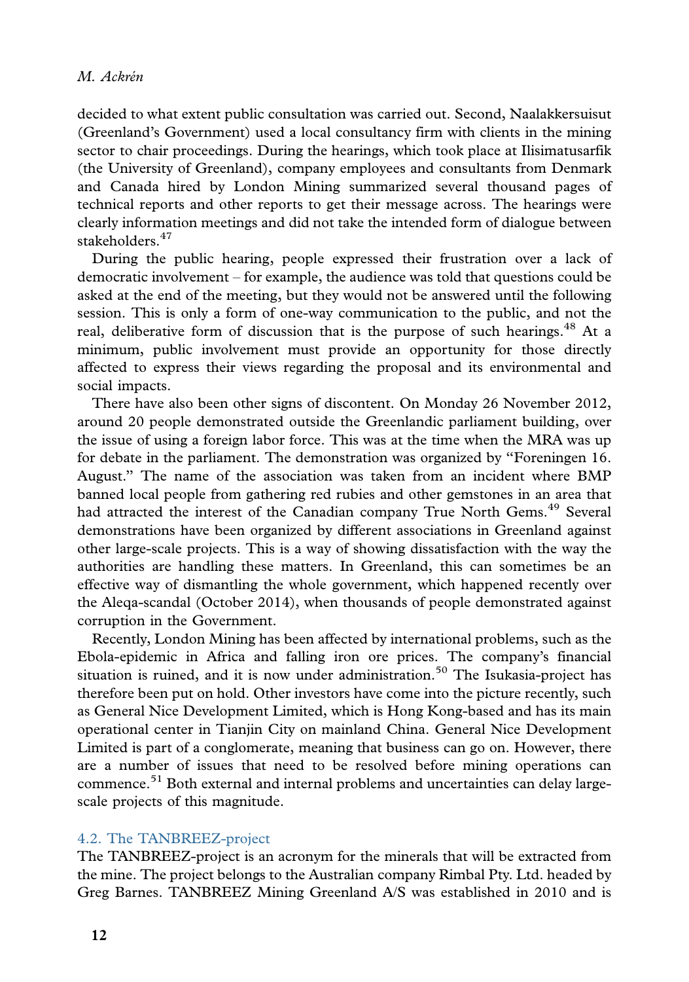decided to what extent public consultation was carried out. Second, Naalakkersuisut (Greenland's Government) used a local consultancy firm with clients in the mining sector to chair proceedings. During the hearings, which took place at Ilisimatusarfik (the University of Greenland), company employees and consultants from Denmark and Canada hired by London Mining summarized several thousand pages of technical reports and other reports to get their message across. The hearings were clearly information meetings and did not take the intended form of dialogue between stakeholders.<sup>47</sup>

During the public hearing, people expressed their frustration over a lack of democratic involvement  $-$  for example, the audience was told that questions could be asked at the end of the meeting, but they would not be answered until the following session. This is only a form of one-way communication to the public, and not the real, deliberative form of discussion that is the purpose of such hearings.<sup>48</sup> At a minimum, public involvement must provide an opportunity for those directly affected to express their views regarding the proposal and its environmental and social impacts.

There have also been other signs of discontent. On Monday 26 November 2012, around 20 people demonstrated outside the Greenlandic parliament building, over the issue of using a foreign labor force. This was at the time when the MRA was up for debate in the parliament. The demonstration was organized by ''Foreningen 16. August.'' The name of the association was taken from an incident where BMP banned local people from gathering red rubies and other gemstones in an area that had attracted the interest of the Canadian company True North Gems.<sup>49</sup> Several demonstrations have been organized by different associations in Greenland against other large-scale projects. This is a way of showing dissatisfaction with the way the authorities are handling these matters. In Greenland, this can sometimes be an effective way of dismantling the whole government, which happened recently over the Aleqa-scandal (October 2014), when thousands of people demonstrated against corruption in the Government.

Recently, London Mining has been affected by international problems, such as the Ebola-epidemic in Africa and falling iron ore prices. The company's financial situation is ruined, and it is now under administration.<sup>50</sup> The Isukasia-project has therefore been put on hold. Other investors have come into the picture recently, such as General Nice Development Limited, which is Hong Kong-based and has its main operational center in Tianjin City on mainland China. General Nice Development Limited is part of a conglomerate, meaning that business can go on. However, there are a number of issues that need to be resolved before mining operations can commence.<sup>51</sup> Both external and internal problems and uncertainties can delay largescale projects of this magnitude.

## 4.2. The TANBREEZ-project

The TANBREEZ-project is an acronym for the minerals that will be extracted from the mine. The project belongs to the Australian company Rimbal Pty. Ltd. headed by Greg Barnes. TANBREEZ Mining Greenland A/S was established in 2010 and is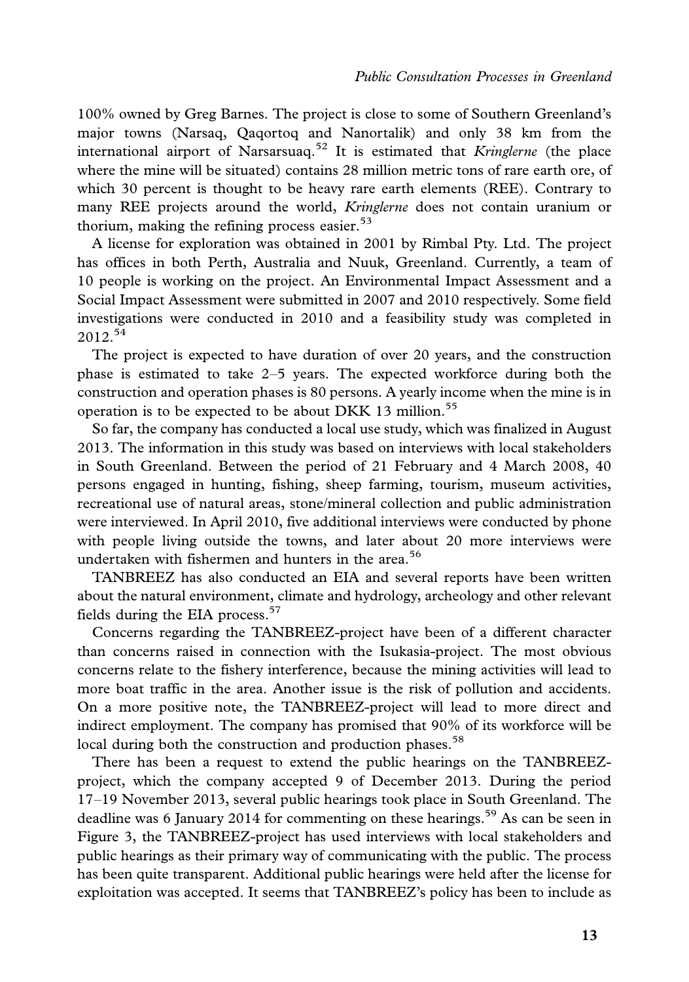100% owned by Greg Barnes. The project is close to some of Southern Greenland's major towns (Narsaq, Qaqortoq and Nanortalik) and only 38 km from the international airport of Narsarsuaq.<sup>52</sup> It is estimated that *Kringlerne* (the place where the mine will be situated) contains 28 million metric tons of rare earth ore, of which 30 percent is thought to be heavy rare earth elements (REE). Contrary to many REE projects around the world, Kringlerne does not contain uranium or thorium, making the refining process easier.<sup>53</sup>

A license for exploration was obtained in 2001 by Rimbal Pty. Ltd. The project has offices in both Perth, Australia and Nuuk, Greenland. Currently, a team of 10 people is working on the project. An Environmental Impact Assessment and a Social Impact Assessment were submitted in 2007 and 2010 respectively. Some field investigations were conducted in 2010 and a feasibility study was completed in  $2012^{54}$ 

The project is expected to have duration of over 20 years, and the construction phase is estimated to take  $2-5$  years. The expected workforce during both the construction and operation phases is 80 persons. A yearly income when the mine is in operation is to be expected to be about DKK 13 million.<sup>55</sup>

So far, the company has conducted a local use study, which was finalized in August 2013. The information in this study was based on interviews with local stakeholders in South Greenland. Between the period of 21 February and 4 March 2008, 40 persons engaged in hunting, fishing, sheep farming, tourism, museum activities, recreational use of natural areas, stone/mineral collection and public administration were interviewed. In April 2010, five additional interviews were conducted by phone with people living outside the towns, and later about 20 more interviews were undertaken with fishermen and hunters in the area.<sup>56</sup>

TANBREEZ has also conducted an EIA and several reports have been written about the natural environment, climate and hydrology, archeology and other relevant fields during the EIA process.<sup>57</sup>

Concerns regarding the TANBREEZ-project have been of a different character than concerns raised in connection with the Isukasia-project. The most obvious concerns relate to the fishery interference, because the mining activities will lead to more boat traffic in the area. Another issue is the risk of pollution and accidents. On a more positive note, the TANBREEZ-project will lead to more direct and indirect employment. The company has promised that 90% of its workforce will be local during both the construction and production phases.<sup>58</sup>

There has been a request to extend the public hearings on the TANBREEZproject, which the company accepted 9 of December 2013. During the period 1719 November 2013, several public hearings took place in South Greenland. The deadline was 6 January 2014 for commenting on these hearings.<sup>59</sup> As can be seen in Figure 3, the TANBREEZ-project has used interviews with local stakeholders and public hearings as their primary way of communicating with the public. The process has been quite transparent. Additional public hearings were held after the license for exploitation was accepted. It seems that TANBREEZ's policy has been to include as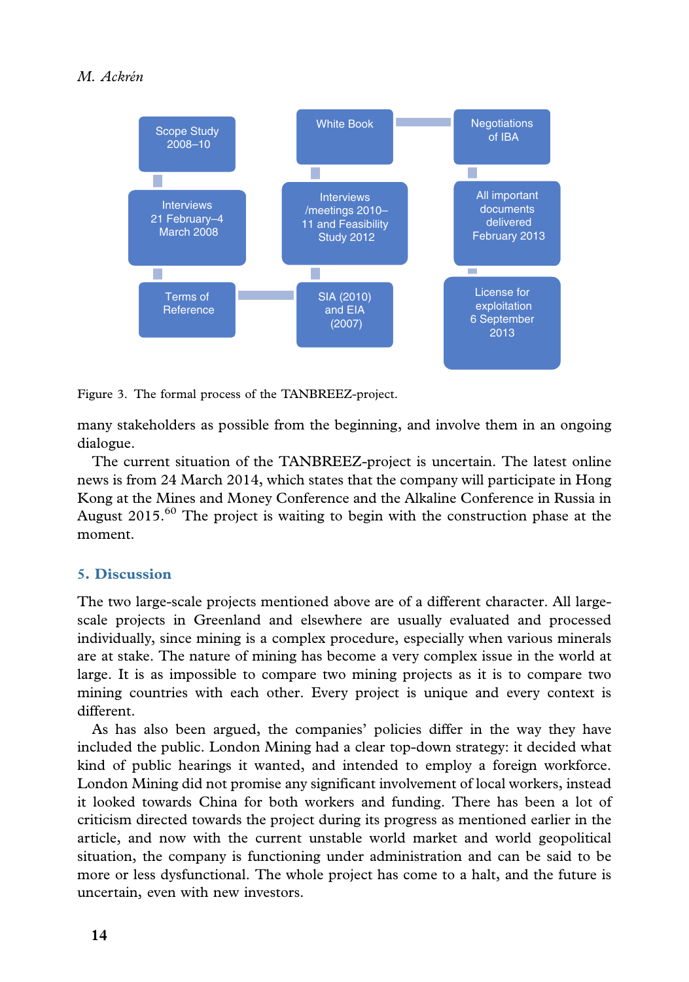

Figure 3. The formal process of the TANBREEZ-project.

many stakeholders as possible from the beginning, and involve them in an ongoing dialogue.

The current situation of the TANBREEZ-project is uncertain. The latest online news is from 24 March 2014, which states that the company will participate in Hong Kong at the Mines and Money Conference and the Alkaline Conference in Russia in August 2015.<sup>60</sup> The project is waiting to begin with the construction phase at the moment.

## 5. Discussion

The two large-scale projects mentioned above are of a different character. All largescale projects in Greenland and elsewhere are usually evaluated and processed individually, since mining is a complex procedure, especially when various minerals are at stake. The nature of mining has become a very complex issue in the world at large. It is as impossible to compare two mining projects as it is to compare two mining countries with each other. Every project is unique and every context is different.

As has also been argued, the companies' policies differ in the way they have included the public. London Mining had a clear top-down strategy: it decided what kind of public hearings it wanted, and intended to employ a foreign workforce. London Mining did not promise any significant involvement of local workers, instead it looked towards China for both workers and funding. There has been a lot of criticism directed towards the project during its progress as mentioned earlier in the article, and now with the current unstable world market and world geopolitical situation, the company is functioning under administration and can be said to be more or less dysfunctional. The whole project has come to a halt, and the future is uncertain, even with new investors.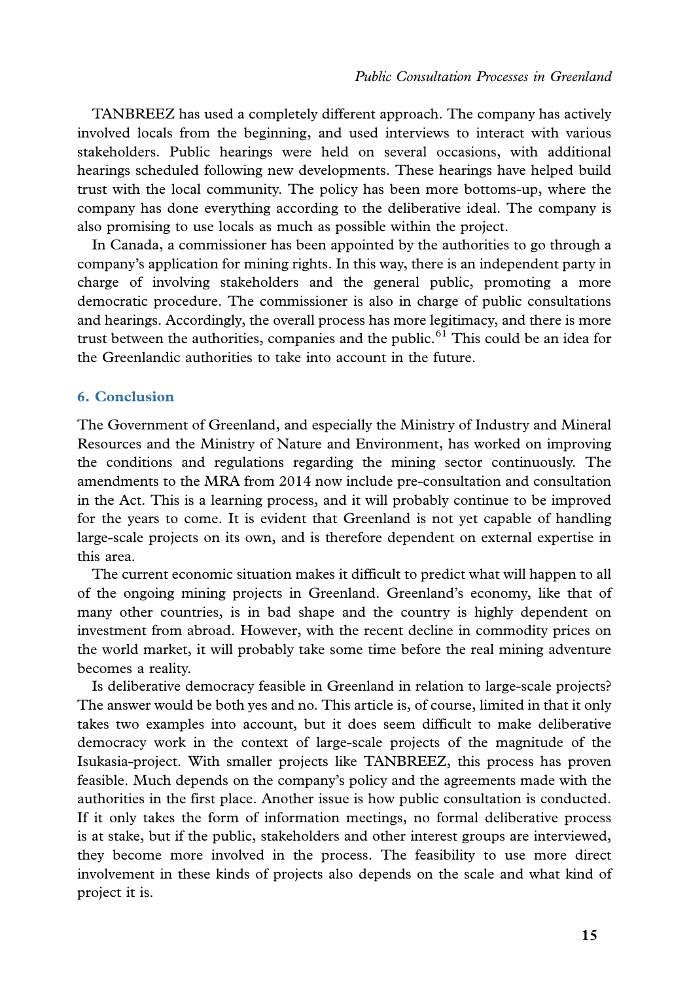TANBREEZ has used a completely different approach. The company has actively involved locals from the beginning, and used interviews to interact with various stakeholders. Public hearings were held on several occasions, with additional hearings scheduled following new developments. These hearings have helped build trust with the local community. The policy has been more bottoms-up, where the company has done everything according to the deliberative ideal. The company is also promising to use locals as much as possible within the project.

In Canada, a commissioner has been appointed by the authorities to go through a company's application for mining rights. In this way, there is an independent party in charge of involving stakeholders and the general public, promoting a more democratic procedure. The commissioner is also in charge of public consultations and hearings. Accordingly, the overall process has more legitimacy, and there is more trust between the authorities, companies and the public.<sup>61</sup> This could be an idea for the Greenlandic authorities to take into account in the future.

## 6. Conclusion

The Government of Greenland, and especially the Ministry of Industry and Mineral Resources and the Ministry of Nature and Environment, has worked on improving the conditions and regulations regarding the mining sector continuously. The amendments to the MRA from 2014 now include pre-consultation and consultation in the Act. This is a learning process, and it will probably continue to be improved for the years to come. It is evident that Greenland is not yet capable of handling large-scale projects on its own, and is therefore dependent on external expertise in this area.

The current economic situation makes it difficult to predict what will happen to all of the ongoing mining projects in Greenland. Greenland's economy, like that of many other countries, is in bad shape and the country is highly dependent on investment from abroad. However, with the recent decline in commodity prices on the world market, it will probably take some time before the real mining adventure becomes a reality.

Is deliberative democracy feasible in Greenland in relation to large-scale projects? The answer would be both yes and no. This article is, of course, limited in that it only takes two examples into account, but it does seem difficult to make deliberative democracy work in the context of large-scale projects of the magnitude of the Isukasia-project. With smaller projects like TANBREEZ, this process has proven feasible. Much depends on the company's policy and the agreements made with the authorities in the first place. Another issue is how public consultation is conducted. If it only takes the form of information meetings, no formal deliberative process is at stake, but if the public, stakeholders and other interest groups are interviewed, they become more involved in the process. The feasibility to use more direct involvement in these kinds of projects also depends on the scale and what kind of project it is.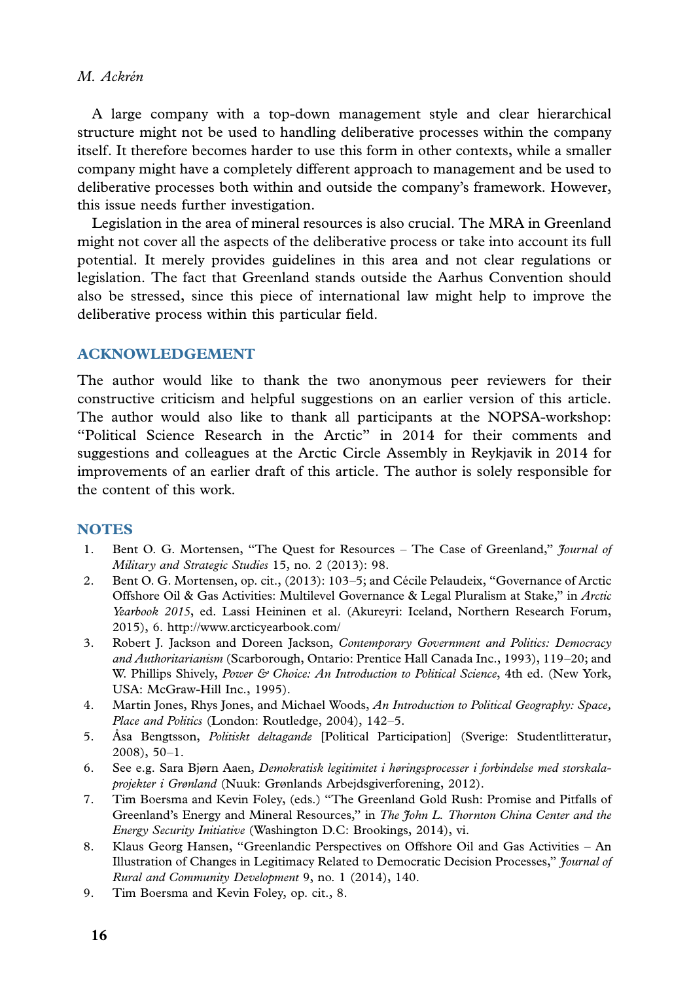A large company with a top-down management style and clear hierarchical structure might not be used to handling deliberative processes within the company itself. It therefore becomes harder to use this form in other contexts, while a smaller company might have a completely different approach to management and be used to deliberative processes both within and outside the company's framework. However, this issue needs further investigation.

Legislation in the area of mineral resources is also crucial. The MRA in Greenland might not cover all the aspects of the deliberative process or take into account its full potential. It merely provides guidelines in this area and not clear regulations or legislation. The fact that Greenland stands outside the Aarhus Convention should also be stressed, since this piece of international law might help to improve the deliberative process within this particular field.

#### ACKNOWLEDGEMENT

The author would like to thank the two anonymous peer reviewers for their constructive criticism and helpful suggestions on an earlier version of this article. The author would also like to thank all participants at the NOPSA-workshop: ''Political Science Research in the Arctic'' in 2014 for their comments and suggestions and colleagues at the Arctic Circle Assembly in Reykjavik in 2014 for improvements of an earlier draft of this article. The author is solely responsible for the content o[f](http://www.arcticyearbook.com/) [this](http://www.arcticyearbook.com/) [work.](http://www.arcticyearbook.com/)

## **NOTES**

- 1. Bent O. G. Mortensen, "The Quest for Resources The Case of Greenland," Journal of Military and Strategic Studies 15, no. 2 (2013): 98.
- 2. Bent O. G. Mortensen, op. cit., (2013): 103–5; and Cécile Pelaudeix, "Governance of Arctic Offshore Oil & Gas Activities: Multilevel Governance & Legal Pluralism at Stake," in Arctic Yearbook 2015, ed. Lassi Heininen et al. (Akureyri: Iceland, Northern Research Forum, 2015), 6. http://www.arcticyearbook.com/
- 3. Robert J. Jackson and Doreen Jackson, Contemporary Government and Politics: Democracy and Authoritarianism (Scarborough, Ontario: Prentice Hall Canada Inc., 1993), 119-20; and W. Phillips Shively, Power & Choice: An Introduction to Political Science, 4th ed. (New York, USA: McGraw-Hill Inc., 1995).
- 4. Martin Jones, Rhys Jones, and Michael Woods, An Introduction to Political Geography: Space, Place and Politics (London: Routledge, 2004), 142-5.
- 5. Åsa Bengtsson, Politiskt deltagande [Political Participation] (Sverige: Studentlitteratur,  $2008$ ,  $50-1$ .
- 6. See e.g. Sara Bjørn Aaen, Demokratisk legitimitet i høringsprocesser i forbindelse med storskalaprojekter i Grønland (Nuuk: Grønlands Arbejdsgiverforening, 2012).
- 7. Tim Boersma and Kevin Foley, (eds.) ''The Greenland Gold Rush: Promise and Pitfalls of Greenland's Energy and Mineral Resources," in The John L. Thornton China Center and the Energy Security Initiative (Washington D.C: Brookings, 2014), vi.
- 8. Klaus Georg Hansen, "Greenlandic Perspectives on Offshore Oil and Gas Activities An Illustration of Changes in Legitimacy Related to Democratic Decision Processes,'' Journal of Rural and Community Development 9, no. 1 (2014), 140.
- 9. Tim Boersma and Kevin Foley, op. cit., 8.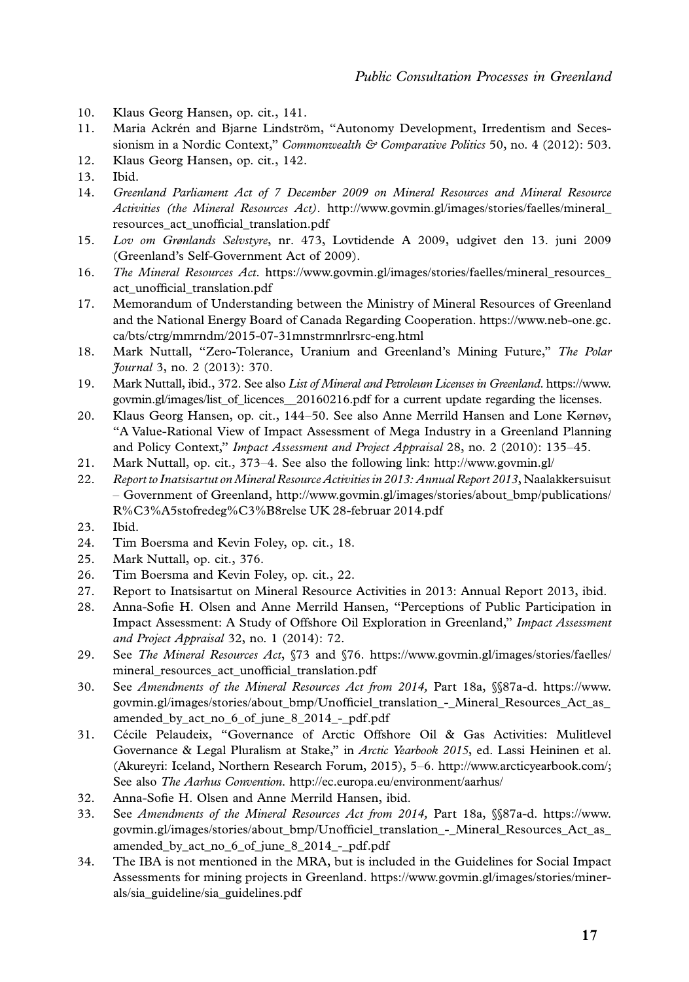[Public Consultation Processes in Greenland](http://www.govmin.gl/images/stories/faelles/mineral_resources_act_unofficial_translation.pdf)

- 10. [Klaus](http://www.govmin.gl/images/stories/faelles/mineral_resources_act_unofficial_translation.pdf) [Georg](http://www.govmin.gl/images/stories/faelles/mineral_resources_act_unofficial_translation.pdf) [Hansen,](http://www.govmin.gl/images/stories/faelles/mineral_resources_act_unofficial_translation.pdf) [op.](http://www.govmin.gl/images/stories/faelles/mineral_resources_act_unofficial_translation.pdf) [cit.,](http://www.govmin.gl/images/stories/faelles/mineral_resources_act_unofficial_translation.pdf) [141.](http://www.govmin.gl/images/stories/faelles/mineral_resources_act_unofficial_translation.pdf)
- 11. Maria Ackrén and Bjarne Lindström, "Autonomy Development, Irredentism and Seces-sionism in a Nordic Context," [Commonwealth & Comparative Politics](https://www.govmin.gl/images/stories/faelles/mineral_resources_act_unofficial_translation.pdf) 50, no. 4 (2012): 503.
- 12. [Klaus Georg Hansen, op. cit.](https://www.govmin.gl/images/stories/faelles/mineral_resources_act_unofficial_translation.pdf), 142.
- 13. Ibid.
- 14. Greenland Parliament Act of 7 December 2009 on Mineral Resourc[es and Mineral Resource](://https://www.neb-one.gc.ca/bts/ctrg/mmrndm/2015-07-31mnstrmnrlrsrc-eng.html) [Activities \(the Mineral Resources Act\).](://https://www.neb-one.gc.ca/bts/ctrg/mmrndm/2015-07-31mnstrmnrlrsrc-eng.html) http://www.govmin.gl/images/stories/faelles/mineral\_ resources\_act\_unofficial\_translation.pdf
- 15. Lov om Grønlands Selvstyre, nr. 473, Lovtidende A 2009, udgivet den 13. juni 2009 (Greenland's Self-Government Act of 2009).
- 16. [The Mineral Resources Act](https://www.govmin.gl/images/list_of_licences__20160216.pdf). https://www.govmin.gl/images/stories/faelles/minera[l\\_resources\\_](https://www.govmin.gl/images/list_of_licences__20160216.pdf) act\_unofficial\_translation.pdf
- 17. Memorandum of Understanding between the Ministry of Mineral Resources of Greenland and the National Energy Board of Canada Regarding Cooperation. https://www.neb-one.gc. ca/bts/ctrg/mmrndm/2015-07-31mnstrmnrlrsrc-eng.html
- 18. Mark Nuttall, "Zero-Tolerance, Uranium and Greenla[nd's](http://www.govmin.gl/) [Mining](http://www.govmin.gl/) Future," The Polar Journal 3, no. 2 (2013): 370.
- 19. [Mark Nuttall, ibid., 372. See also](http://www.govmin.gl/images/stories/about_bmp/publications/R%C3%A5stofredeg%C3%B8relse%20UK%2028-februar%202014.pdf) [List](http://www.govmin.gl/images/stories/about_bmp/publications/R%C3%A5stofredeg%C3%B8relse%20UK%2028-februar%202014.pdf) [of](http://www.govmin.gl/images/stories/about_bmp/publications/R%C3%A5stofredeg%C3%B8relse%20UK%2028-februar%202014.pdf) [Mineral](http://www.govmin.gl/images/stories/about_bmp/publications/R%C3%A5stofredeg%C3%B8relse%20UK%2028-februar%202014.pdf) [and](http://www.govmin.gl/images/stories/about_bmp/publications/R%C3%A5stofredeg%C3%B8relse%20UK%2028-februar%202014.pdf) [Petroleum](http://www.govmin.gl/images/stories/about_bmp/publications/R%C3%A5stofredeg%C3%B8relse%20UK%2028-februar%202014.pdf) [Licenses](http://www.govmin.gl/images/stories/about_bmp/publications/R%C3%A5stofredeg%C3%B8relse%20UK%2028-februar%202014.pdf) [in](http://www.govmin.gl/images/stories/about_bmp/publications/R%C3%A5stofredeg%C3%B8relse%20UK%2028-februar%202014.pdf) [Greenland](http://www.govmin.gl/images/stories/about_bmp/publications/R%C3%A5stofredeg%C3%B8relse%20UK%2028-februar%202014.pdf). https://www. govmin.gl/images/list\_of\_licences\_\_20160216.pdf for a current update regarding the licenses.
- 20. Klaus Georg Hansen, op. cit., 14450. See also Anne Merrild Hansen and Lone Kørnøv, ''A Value-Rational View of Impact Assessment of Mega Industry in a Greenland Planning and Policy Context," Impact Assessment and Project Appraisal 28, no. 2 (2010): 135–45.
- 21. Mark Nuttall, op. cit., 373-4. See also the following link: http://www.govmin.gl/
- 22. Report to Inatsisartut on Mineral Resource Activities in 2013: Annual Report 2013, Naalakkersuisut Government of Greenland, http://www.govmin.gl/images/stories/about\_bmp/publications/ R%C3%A5stofredeg%C3%B8relse UK 28-februar 2014.pdf
- 23. Ibid.
- 24. [Tim Boersma and Kevin Foley, op. cit., 18.](https://www.govmin.gl/images/stories/faelles/mineral_resources_act_unofficial_translation.pdf)
- 25. Mark Nuttall, op. cit., 376.
- 26. [Tim Boersma and Kevin Foley, op. cit., 22.](https://www.govmin.gl/images/stories/about_bmp/Unofficiel_translation_-_Mineral_Resources_Act_as_amended_by_act_no_6_of_june_8_2014_-_pdf.pdf)
- 27. [Report to Inatsisartut on Mineral Resource Activit](https://www.govmin.gl/images/stories/about_bmp/Unofficiel_translation_-_Mineral_Resources_Act_as_amended_by_act_no_6_of_june_8_2014_-_pdf.pdf)ies in 2013: Annual Report 2013, ibid.
- 28. Anna-Sofie H. Olsen and Anne Merrild Hansen, ''Perceptions of Public Participation in Impact Assessment: A Study of Offshore Oil Exploration in Greenland,'' Impact Assessment and Project Appraisal 32, no. 1 (2014): 72.
- 29. See The Mineral Resources Act, [§73 and §76. https://www.govmin.gl/im](http://ec.europa.eu/environment/aarhus/)[ages/stories/faelles](http://www.arcticyearbook.com/)/ mineral\_resources\_act\_unofficial\_translation.pdf
- 30. See Amendments of the Mineral Resources Act from 2014, Part 18a, §§87a-d. [https://www.](https://www.govmin.gl/images/stories/about_bmp/Unofficiel_translation_-_Mineral_Resources_Act_as_amended_by_act_no_6_of_june_8_2014_-_pdf.pdf) [govmin.gl/images/stories/about\\_bmp/Unofficiel\\_translation\\_-\\_Mineral\\_Resources\\_Act\\_as\\_](https://www.govmin.gl/images/stories/about_bmp/Unofficiel_translation_-_Mineral_Resources_Act_as_amended_by_act_no_6_of_june_8_2014_-_pdf.pdf) [amended\\_by\\_act\\_no\\_6\\_of\\_june\\_8\\_2014\\_-\\_pdf.pdf](https://www.govmin.gl/images/stories/about_bmp/Unofficiel_translation_-_Mineral_Resources_Act_as_amended_by_act_no_6_of_june_8_2014_-_pdf.pdf)
- 31. Cécile Pelaudeix, "Governance of Arctic Offshore Oil & Gas Activities: Mulitlevel Governance & Legal Pluralism at Stake,'' in Arctic Yearbook 2015[, ed. Lassi Heininen et al.](https://www.govmin.gl/images/stories/minerals/sia_guideline/sia_guidelines.pdf) [\(Akureyri: Iceland, Northern Resea](https://www.govmin.gl/images/stories/minerals/sia_guideline/sia_guidelines.pdf)rch Forum, 2015), 5-6. http://www.arcticyearbook.com/; See also The Aarhus Convention. http://ec.europa.eu/environment/aarhus/
- 32. Anna-Sofie H. Olsen and Anne Merrild Hansen, ibid.
- 33. See Amendments of the Mineral Resources Act from 2014, Part 18a, §§87a-d. https://www. govmin.gl/images/stories/about\_bmp/Unofficiel\_translation\_-\_Mineral\_Resources\_Act\_as\_ amended\_by\_act\_no\_6\_of\_june\_8\_2014\_-\_pdf.pdf
- 34. The IBA is not mentioned in the MRA, but is included in the Guidelines for Social Impact Assessments for mining projects in Greenland. https://www.govmin.gl/images/stories/minerals/sia\_guideline/sia\_guidelines.pdf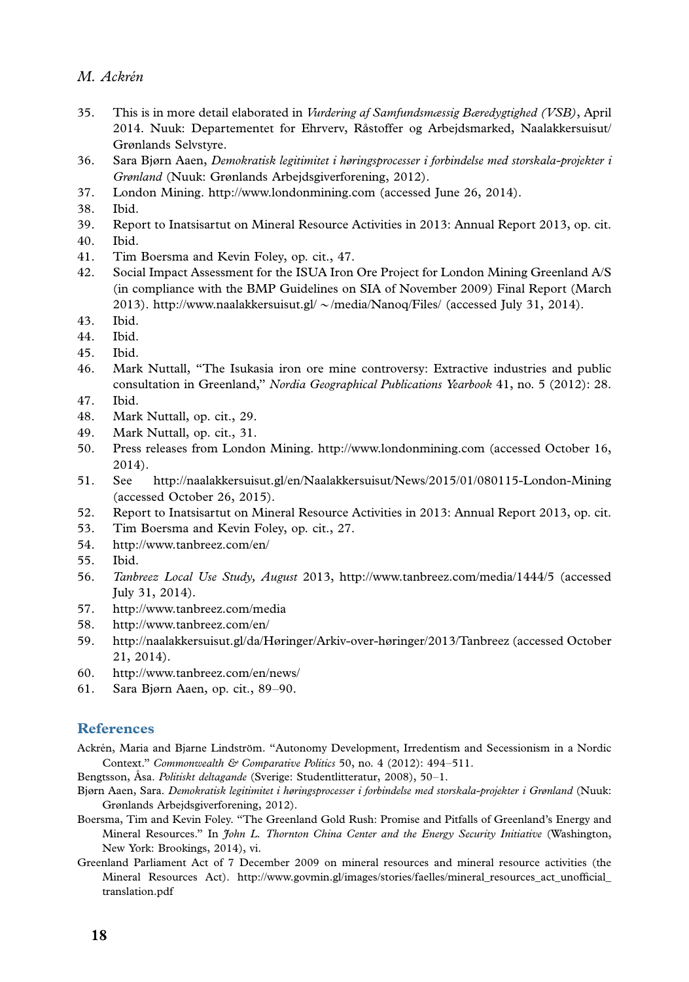- 35. This is in more detail elaborated in Vurdering af Samfundsmæssig Bæredygtighed (VSB), April 2014. Nuuk: Departementet for Ehrverv, Råstoffer og Arbejdsmarked, Naalakkersuisut/ Grønlands Selvstyre.
- 36. Sara Bjørn Aaen, Demokratisk legitimitet i høringsprocesser i forbindelse med storskala-projekter i Grønland [\(Nuuk: Grønlands Arbejdsg](http://www.naalakkersuisut.gl/~/media/Nanoq/Files/)iv[erforening, 2012\).](http://www.naalakkersuisut.gl/~/media/Nanoq/Files/)
- 37. London Mining. http://www.londonmining.com (accessed June 26, 2014).
- 38. Ibid.
- 39. Report to Inatsisartut on Mineral Resource Activities in 2013: Annual Report 2013, op. cit.
- 40. Ibid.
- 41. Tim Boersma and Kevin Foley, op. cit., 47.
- 42. Social Impact Assessment for the ISUA Iron Ore Project for London Mining Greenland A/S (in compliance with the BMP Guidelines on SIA of November 2009) Final Report (March 2013). http://www.naalakkersuisut.gl/-/media/Nanoq/Files/ (accessed July 31, 2014).
- 43. Ibid.
- 44. Ibid.
- 45. Ibid.
- 46. Mark [Nuttall,](http://naalakkersuisut.gl/en/Naalakkersuisut/News/2015/01/080115-London-Mining) [''The](http://naalakkersuisut.gl/en/Naalakkersuisut/News/2015/01/080115-London-Mining) [Isukasia](http://naalakkersuisut.gl/en/Naalakkersuisut/News/2015/01/080115-London-Mining) [iron](http://naalakkersuisut.gl/en/Naalakkersuisut/News/2015/01/080115-London-Mining) [ore](http://naalakkersuisut.gl/en/Naalakkersuisut/News/2015/01/080115-London-Mining) [mine](http://naalakkersuisut.gl/en/Naalakkersuisut/News/2015/01/080115-London-Mining) [controversy:](http://naalakkersuisut.gl/en/Naalakkersuisut/News/2015/01/080115-London-Mining) [Extractive](http://naalakkersuisut.gl/en/Naalakkersuisut/News/2015/01/080115-London-Mining) [industries](http://naalakkersuisut.gl/en/Naalakkersuisut/News/2015/01/080115-London-Mining) [and](http://naalakkersuisut.gl/en/Naalakkersuisut/News/2015/01/080115-London-Mining) [public](http://naalakkersuisut.gl/en/Naalakkersuisut/News/2015/01/080115-London-Mining) consultation in Greenland,'' Nordia Geographical Publications Yearbook 41, no. 5 (2012): 28.
- 47. Ibid.
- 48. [Mark Nuttall, op. cit., 29.](http://www.tanbreez.com/en/)
- 49. Mark Nuttall, op. cit., 31.
- 50. Press releases from London Mining. htt[p://www.londonmining.com \(accessed O](http://www.tanbreez.com/media/1444/5)ctober 16, 2014).
- 51. [See http://naalakkersuisut.gl/](http://www.tanbreez.com/media)en/Naalakkersuisut/News/2015/01/080115-London-Mining [\(accessed October 26, 2015\)](http://www.tanbreez.com/en/).
- 52. [Report to Inatsisartut on Mineral Resource Activities in 2013: Annual Re](http://naalakkersuisut.gl/da/H�ringer/Arkiv-over-h�ringer/2013/Tanbreez)port 2013, op. cit.
- 53. Tim Boersma and Kevin Foley, op. cit., 27.
- 54. [http://www.tanbreez.com/en/](http://www.tanbreez.com/en/news/)
- 55. Ibid.
- 56. Tanbreez Local Use Study, August 2013, http://www.tanbreez.com/media/1444/5 (accessed July 31, 2014).
- 57. http://www.tanbreez.com/media
- 58. http://www.tanbreez.com/en/
- 59. http://naalakkersuisut.gl/da/Høringer/Arkiv-over-høringer/2013/Tanbreez (accessed October 21, 2014).
- 60. http://www.tanbreez.com/en/news/
- 61. Sara Bjørn Aaen, op. cit., 89-90.

#### References

Ackrén, Maria and Bjarne Lindström. "Autonomy Development, Irredentism and Secessionism in a Nordic Context." Commonwealth & Comparative Politics 50, no. 4 (2012): 494-511.

Bengtsson, Åsa. Politiskt deltagande (Sverige: Studentlitteratur, 2008), 50-1.

Bjørn Aaen, Sara. Demokratisk legitimitet i høringsprocesser i forbindelse med storskala-projekter i Grønland (Nuuk: Grønlands Arbejdsgiverforening, 2012).

- Boersma, Tim and Kevin Foley. ''The Greenland Gold Rush: Promise and Pitfalls of Greenland's Energy and Mineral Resources." In John L. Thornton China Center and the Energy Security Initiative (Washington, New York: Brookings, 2014), vi.
- Greenland Parliament Act of 7 December 2009 on mineral resources and mineral resource activities (the Mineral Resources Act). http://www.govmin.gl/images/stories/faelles/mineral\_resources\_act\_unofficial\_ translation.pdf